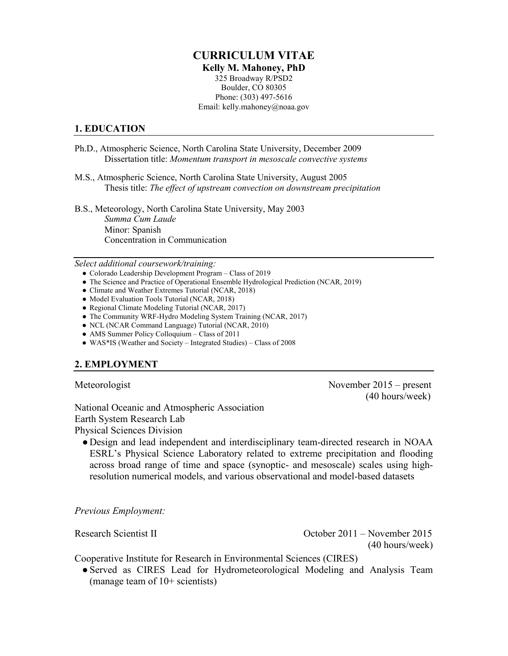#### **CURRICULUM VITAE Kelly M. Mahoney, PhD** 325 Broadway R/PSD2 Boulder, CO 80305 Phone: (303) 497-5616 Email: kelly.mahoney@noaa.gov

### **1. EDUCATION**

- Ph.D., Atmospheric Science, North Carolina State University, December 2009 Dissertation title: *Momentum transport in mesoscale convective systems*
- M.S., Atmospheric Science, North Carolina State University, August 2005 Thesis title: *The effect of upstream convection on downstream precipitation*

B.S., Meteorology, North Carolina State University, May 2003 *Summa Cum Laude* Minor: Spanish Concentration in Communication

*Select additional coursework/training:* 

- Colorado Leadership Development Program Class of 2019
- The Science and Practice of Operational Ensemble Hydrological Prediction (NCAR, 2019)
- Climate and Weather Extremes Tutorial (NCAR, 2018)
- Model Evaluation Tools Tutorial (NCAR, 2018)
- Regional Climate Modeling Tutorial (NCAR, 2017)
- The Community WRF-Hydro Modeling System Training (NCAR, 2017)
- NCL (NCAR Command Language) Tutorial (NCAR, 2010)
- AMS Summer Policy Colloquium Class of 2011
- WAS\*IS (Weather and Society Integrated Studies) Class of 2008

# **2. EMPLOYMENT**

Meteorologist November 2015 – present (40 hours/week)

National Oceanic and Atmospheric Association Earth System Research Lab Physical Sciences Division

● Design and lead independent and interdisciplinary team-directed research in NOAA ESRL's Physical Science Laboratory related to extreme precipitation and flooding across broad range of time and space (synoptic- and mesoscale) scales using highresolution numerical models, and various observational and model-based datasets

*Previous Employment:*

Research Scientist II October 2011 – November 2015 (40 hours/week)

Cooperative Institute for Research in Environmental Sciences (CIRES)

●Served as CIRES Lead for Hydrometeorological Modeling and Analysis Team (manage team of 10+ scientists)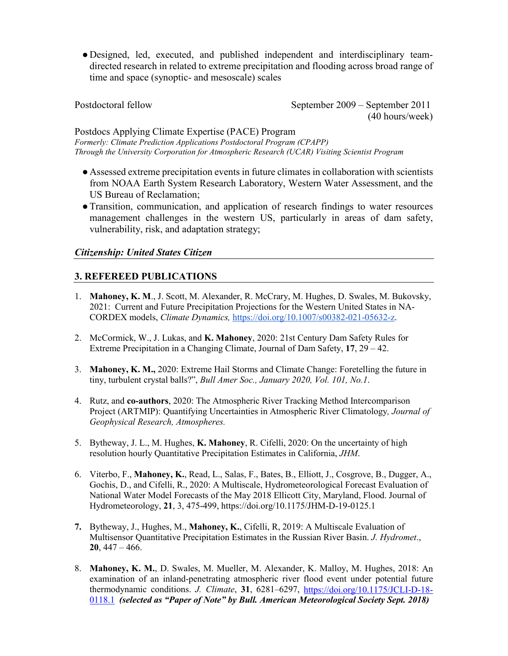● Designed, led, executed, and published independent and interdisciplinary teamdirected research in related to extreme precipitation and flooding across broad range of time and space (synoptic- and mesoscale) scales

Postdoctoral fellow September 2009 – September 2011 (40 hours/week)

#### Postdocs Applying Climate Expertise (PACE) Program

*Formerly: Climate Prediction Applications Postdoctoral Program (CPAPP) Through the University Corporation for Atmospheric Research (UCAR) Visiting Scientist Program*

- Assessed extreme precipitation events in future climates in collaboration with scientists from NOAA Earth System Research Laboratory, Western Water Assessment, and the US Bureau of Reclamation;
- ●Transition, communication, and application of research findings to water resources management challenges in the western US, particularly in areas of dam safety, vulnerability, risk, and adaptation strategy;

# *Citizenship: United States Citizen*

# **3. REFEREED PUBLICATIONS**

- 1. **Mahoney, K. M**., J. Scott, M. Alexander, R. McCrary, M. Hughes, D. Swales, M. Bukovsky, 2021: Current and Future Precipitation Projections for the Western United States in NA-CORDEX models, *Climate Dynamics,* [https://doi.org/10.1007/s00382-021-05632-z.](https://doi.org/10.1007/s00382-021-05632-z)
- 2. McCormick, W., J. Lukas, and **K. Mahoney**, 2020: 21st Century Dam Safety Rules for Extreme Precipitation in a Changing Climate, Journal of Dam Safety, **17**, 29 – 42.
- 3. **Mahoney, K. M.,** 2020: Extreme Hail Storms and Climate Change: Foretelling the future in tiny, turbulent crystal balls?", *Bull Amer Soc., January 2020, Vol. 101, No.1*.
- 4. Rutz, and **co-authors**, 2020: The Atmospheric River Tracking Method Intercomparison Project (ARTMIP): Quantifying Uncertainties in Atmospheric River Climatology*, Journal of Geophysical Research, Atmospheres.*
- 5. Bytheway, J. L., M. Hughes, **K. Mahoney**, R. Cifelli, 2020: On the uncertainty of high resolution hourly Quantitative Precipitation Estimates in California, *JHM*.
- 6. Viterbo, F., **Mahoney, K.**, Read, L., Salas, F., Bates, B., Elliott, J., Cosgrove, B., Dugger, A., Gochis, D., and Cifelli, R., 2020: A Multiscale, Hydrometeorological Forecast Evaluation of National Water Model Forecasts of the May 2018 Ellicott City, Maryland, Flood. Journal of Hydrometeorology, **21**, 3, 475-499, https://doi.org/10.1175/JHM-D-19-0125.1
- **7.** Bytheway, J., Hughes, M., **Mahoney, K.**, Cifelli, R, 2019: A Multiscale Evaluation of Multisensor Quantitative Precipitation Estimates in the Russian River Basin. *J. Hydromet*., **20**, 447 – 466.
- 8. **Mahoney, K. M.**, D. Swales, M. Mueller, M. Alexander, K. Malloy, M. Hughes, 2018: An examination of an inland-penetrating atmospheric river flood event under potential future thermodynamic conditions. *J. Climate*, **31**, 6281–6297, [https://doi.org/10.1175/JCLI-D-18-](https://doi.org/10.1175/JCLI-D-18-0118.1) [0118.1](https://doi.org/10.1175/JCLI-D-18-0118.1) *(selected as "Paper of Note" by Bull. American Meteorological Society Sept. 2018)*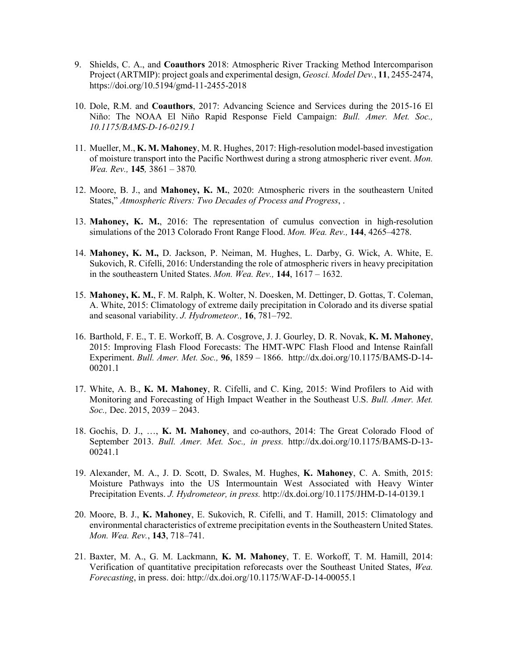- 9. Shields, C. A., and **Coauthors** 2018: Atmospheric River Tracking Method Intercomparison Project (ARTMIP): project goals and experimental design, *Geosci. Model Dev.*, **11**, 2455-2474, https://doi.org/10.5194/gmd-11-2455-2018
- 10. Dole, R.M. and **Coauthors**, 2017: Advancing Science and Services during the 2015-16 El Niño: The NOAA El Niño Rapid Response Field Campaign: *Bull. Amer. Met. Soc., 10.1175/BAMS-D-16-0219.1*
- 11. Mueller, M., **K. M. Mahoney**, M. R. Hughes, 2017: High-resolution model-based investigation of moisture transport into the Pacific Northwest during a strong atmospheric river event. *Mon. Wea. Rev.,* **145***,* 3861 – 3870*.*
- 12. Moore, B. J., and **Mahoney, K. M.**, 2020: Atmospheric rivers in the southeastern United States," *Atmospheric Rivers: Two Decades of Process and Progress*, .
- 13. **Mahoney, K. M.**, 2016: The representation of cumulus convection in high-resolution simulations of the 2013 Colorado Front Range Flood. *Mon. Wea. Rev.,* **144**, 4265–4278.
- 14. **Mahoney, K. M.,** D. Jackson, P. Neiman, M. Hughes, L. Darby, G. Wick, A. White, E. Sukovich, R. Cifelli, 2016: Understanding the role of atmospheric rivers in heavy precipitation in the southeastern United States. *Mon. Wea. Rev.,* **144**, 1617 – 1632.
- 15. **Mahoney, K. M.**, F. M. Ralph, K. Wolter, N. Doesken, M. Dettinger, D. Gottas, T. Coleman, A. White, 2015: Climatology of extreme daily precipitation in Colorado and its diverse spatial and seasonal variability. *J. Hydrometeor.,* **16**, 781–792.
- 16. Barthold, F. E., T. E. Workoff, B. A. Cosgrove, J. J. Gourley, D. R. Novak, **K. M. Mahoney**, 2015: Improving Flash Flood Forecasts: The HMT-WPC Flash Flood and Intense Rainfall Experiment. *Bull. Amer. Met. Soc.,* **96**, 1859 – 1866. http://dx.doi.org/10.1175/BAMS-D-14- 00201.1
- 17. White, A. B., **K. M. Mahoney**, R. Cifelli, and C. King, 2015: Wind Profilers to Aid with Monitoring and Forecasting of High Impact Weather in the Southeast U.S. *Bull. Amer. Met. Soc.,* Dec. 2015, 2039 – 2043.
- 18. Gochis, D. J., …, **K. M. Mahoney**, and co-authors, 2014: The Great Colorado Flood of September 2013. *Bull. Amer. Met. Soc., in press.* http://dx.doi.org/10.1175/BAMS-D-13- 00241.1
- 19. Alexander, M. A., J. D. Scott, D. Swales, M. Hughes, **K. Mahoney**, C. A. Smith, 2015: Moisture Pathways into the US Intermountain West Associated with Heavy Winter Precipitation Events. *J. Hydrometeor, in press.* http://dx.doi.org/10.1175/JHM-D-14-0139.1
- 20. Moore, B. J., **K. Mahoney**, E. Sukovich, R. Cifelli, and T. Hamill, 2015: Climatology and environmental characteristics of extreme precipitation events in the Southeastern United States. *Mon. Wea. Rev.*, **143**, 718–741.
- 21. Baxter, M. A., G. M. Lackmann, **K. M. Mahoney**, T. E. Workoff, T. M. Hamill, 2014: Verification of quantitative precipitation reforecasts over the Southeast United States, *Wea. Forecasting*, in press. doi: http://dx.doi.org/10.1175/WAF-D-14-00055.1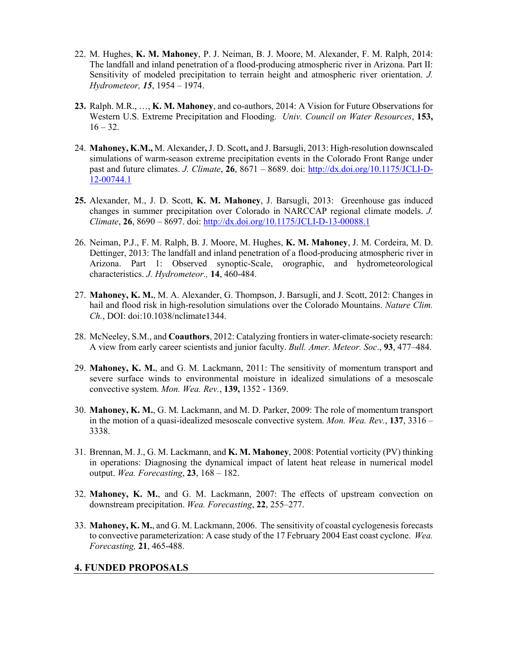- 22. M. Hughes, **K. M. Mahoney**, P. J. Neiman, B. J. Moore, M. Alexander, F. M. Ralph, 2014: The landfall and inland penetration of a flood-producing atmospheric river in Arizona. Part II: Sensitivity of modeled precipitation to terrain height and atmospheric river orientation. *J. Hydrometeor, 15*, 1954 – 1974.
- **23.** Ralph. M.R., …, **K. M. Mahoney**, and co-authors, 2014: A Vision for Future Observations for Western U.S. Extreme Precipitation and Flooding. *Univ. Council on Water Resources*, **153,**   $16 - 32.$
- 24. **Mahoney, K.M.,** M. Alexander**,** J. D. Scott**,** and J. Barsugli, 2013: High-resolution downscaled simulations of warm-season extreme precipitation events in the Colorado Front Range under past and future climates. *J. Climate*, **26**, 8671 – 8689. doi: [http://dx.doi.org/10.1175/JCLI-D-](http://dx.doi.org/10.1175/JCLI-D-12-00744.1)[12-00744.1](http://dx.doi.org/10.1175/JCLI-D-12-00744.1)
- **25.** Alexander, M., J. D. Scott, **K. M. Mahoney**, J. Barsugli, 2013:Greenhouse gas induced changes in summer precipitation over Colorado in NARCCAP regional climate models. *J. Climate*, **26**, 8690 – 8697. doi:<http://dx.doi.org/10.1175/JCLI-D-13-00088.1>
- 26. Neiman, P.J., F. M. Ralph, B. J. Moore, M. Hughes, **K. M. Mahoney**, J. M. Cordeira, M. D. Dettinger, 2013: The landfall and inland penetration of a flood-producing atmospheric river in Arizona. Part 1: Observed synoptic-Scale, orographic, and hydrometeorological characteristics. *J. Hydrometeor.,* **14**, 460-484.
- 27. **Mahoney, K. M.**, M. A. Alexander, G. Thompson, J. Barsugli, and J. Scott, 2012: Changes in hail and flood risk in high-resolution simulations over the Colorado Mountains. *Nature Clim. Ch.*, DOI: doi:10.1038/nclimate1344.
- 28. McNeeley, S.M., and **Coauthors**, 2012: Catalyzing frontiers in water-climate-society research: A view from early career scientists and junior faculty. *Bull. Amer. Meteor. Soc*., **93**, 477–484.
- 29. **Mahoney, K. M.**, and G. M. Lackmann, 2011: The sensitivity of momentum transport and severe surface winds to environmental moisture in idealized simulations of a mesoscale convective system. *Mon. Wea. Rev.*, **139,** 1352 - 1369.
- 30. **Mahoney, K. M.**, G. M. Lackmann, and M. D. Parker, 2009: The role of momentum transport in the motion of a quasi-idealized mesoscale convective system. *Mon. Wea. Rev.*, **137**, 3316 – 3338.
- 31. Brennan, M. J., G. M. Lackmann, and **K. M. Mahoney**, 2008: Potential vorticity (PV) thinking in operations: Diagnosing the dynamical impact of latent heat release in numerical model output. *Wea. Forecasting*, **23**, 168 – 182.
- 32. **Mahoney, K. M.**, and G. M. Lackmann, 2007: The effects of upstream convection on downstream precipitation. *Wea. Forecasting*, **22**, 255–277.
- 33. **Mahoney, K. M.**, and G. M. Lackmann, 2006. The sensitivity of coastal cyclogenesis forecasts to convective parameterization: A case study of the 17 February 2004 East coast cyclone. *Wea. Forecasting,* **21**, 465-488.

# **4. FUNDED PROPOSALS**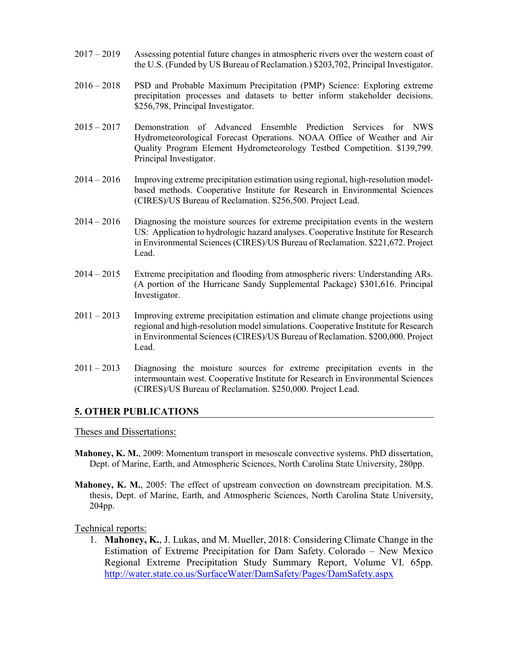- 2017 2019 Assessing potential future changes in atmospheric rivers over the western coast of the U.S. (Funded by US Bureau of Reclamation.) \$203,702, Principal Investigator.
- 2016 2018 PSD and Probable Maximum Precipitation (PMP) Science: Exploring extreme precipitation processes and datasets to better inform stakeholder decisions. \$256,798, Principal Investigator.
- 2015 2017 Demonstration of Advanced Ensemble Prediction Services for NWS Hydrometeorological Forecast Operations. NOAA Office of Weather and Air Quality Program Element Hydrometeorology Testbed Competition. \$139,799. Principal Investigator.
- 2014 2016 Improving extreme precipitation estimation using regional, high-resolution modelbased methods. Cooperative Institute for Research in Environmental Sciences (CIRES)/US Bureau of Reclamation. \$256,500. Project Lead.
- 2014 2016 Diagnosing the moisture sources for extreme precipitation events in the western US: Application to hydrologic hazard analyses. Cooperative Institute for Research in Environmental Sciences (CIRES)/US Bureau of Reclamation. \$221,672. Project Lead.
- 2014 2015 Extreme precipitation and flooding from atmospheric rivers: Understanding ARs. (A portion of the Hurricane Sandy Supplemental Package) \$301,616. Principal Investigator.
- 2011 2013 Improving extreme precipitation estimation and climate change projections using regional and high-resolution model simulations. Cooperative Institute for Research in Environmental Sciences (CIRES)/US Bureau of Reclamation. \$200,000. Project Lead.
- 2011 2013 Diagnosing the moisture sources for extreme precipitation events in the intermountain west. Cooperative Institute for Research in Environmental Sciences (CIRES)/US Bureau of Reclamation. \$250,000. Project Lead.

# **5. OTHER PUBLICATIONS**

Theses and Dissertations:

- **Mahoney, K. M.**, 2009: Momentum transport in mesoscale convective systems. PhD dissertation, Dept. of Marine, Earth, and Atmospheric Sciences, North Carolina State University, 280pp.
- **Mahoney, K. M.**, 2005: The effect of upstream convection on downstream precipitation. M.S. thesis, Dept. of Marine, Earth, and Atmospheric Sciences, North Carolina State University, 204pp.

Technical reports:

1. **Mahoney, K.**, J. Lukas, and M. Mueller, 2018: Considering Climate Change in the Estimation of Extreme Precipitation for Dam Safety. Colorado – New Mexico Regional Extreme Precipitation Study Summary Report, Volume VI. 65pp. <http://water.state.co.us/SurfaceWater/DamSafety/Pages/DamSafety.aspx>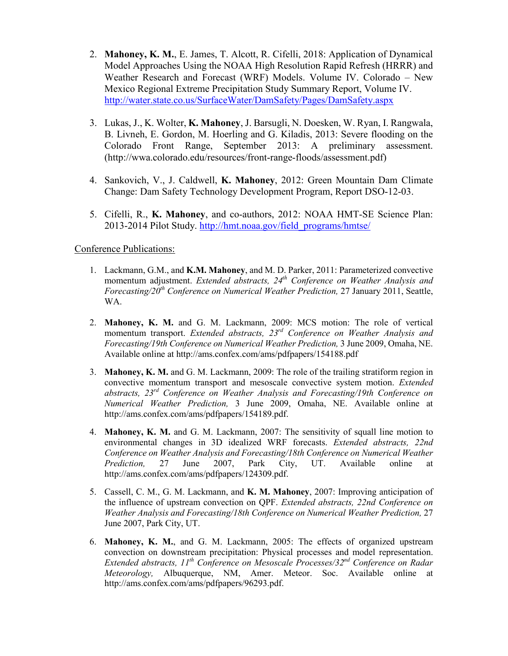- 2. **Mahoney, K. M.**, E. James, T. Alcott, R. Cifelli, 2018: Application of Dynamical Model Approaches Using the NOAA High Resolution Rapid Refresh (HRRR) and Weather Research and Forecast (WRF) Models. Volume IV. Colorado – New Mexico Regional Extreme Precipitation Study Summary Report, Volume IV. <http://water.state.co.us/SurfaceWater/DamSafety/Pages/DamSafety.aspx>
- 3. Lukas, J., K. Wolter, **K. Mahoney**, J. Barsugli, N. Doesken, W. Ryan, I. Rangwala, B. Livneh, E. Gordon, M. Hoerling and G. Kiladis, 2013: [Severe flooding on the](http://wwa.colorado.edu/resources/front-range-floods/assessment.pdf#_blank)  [Colorado Front Range, September 2013: A preliminary assessment.](http://wwa.colorado.edu/resources/front-range-floods/assessment.pdf#_blank) (http://wwa.colorado.edu/resources/front-range-floods/assessment.pdf)
- 4. Sankovich, V., J. Caldwell, **K. Mahoney**, 2012: Green Mountain Dam Climate Change: Dam Safety Technology Development Program, Report DSO-12-03.
- 5. Cifelli, R., **K. Mahoney**, and co-authors, 2012: NOAA HMT-SE Science Plan: 2013-2014 Pilot Study. [http://hmt.noaa.gov/field\\_programs/hmtse/](http://hmt.noaa.gov/field_programs/hmtse/)

# Conference Publications:

- 1. Lackmann, G.M., and **K.M. Mahoney**, and M. D. Parker, 2011: Parameterized convective momentum adjustment. *Extended abstracts, 24th Conference on Weather Analysis and Forecasting/20th Conference on Numerical Weather Prediction,* 27 January 2011, Seattle, WA.
- 2. **Mahoney, K. M.** and G. M. Lackmann, 2009: MCS motion: The role of vertical momentum transport. *Extended abstracts, 23rd Conference on Weather Analysis and Forecasting/19th Conference on Numerical Weather Prediction,* 3 June 2009, Omaha, NE. Available online at http://ams.confex.com/ams/pdfpapers/154188.pdf
- 3. **Mahoney, K. M.** and G. M. Lackmann, 2009: The role of the trailing stratiform region in convective momentum transport and mesoscale convective system motion. *Extended abstracts, 23rd Conference on Weather Analysis and Forecasting/19th Conference on Numerical Weather Prediction,* 3 June 2009, Omaha, NE. Available online at http://ams.confex.com/ams/pdfpapers/154189.pdf.
- 4. **Mahoney, K. M.** and G. M. Lackmann, 2007: The sensitivity of squall line motion to environmental changes in 3D idealized WRF forecasts. *Extended abstracts, 22nd Conference on Weather Analysis and Forecasting/18th Conference on Numerical Weather Prediction,* 27 June 2007, Park City, UT. Available online at http://ams.confex.com/ams/pdfpapers/124309.pdf.
- 5. Cassell, C. M., G. M. Lackmann, and **K. M. Mahoney**, 2007: Improving anticipation of the influence of upstream convection on QPF. *Extended abstracts, 22nd Conference on Weather Analysis and Forecasting/18th Conference on Numerical Weather Prediction, 27* June 2007, Park City, UT.
- 6. **Mahoney, K. M.**, and G. M. Lackmann, 2005: The effects of organized upstream convection on downstream precipitation: Physical processes and model representation. *Extended abstracts, 11th Conference on Mesoscale Processes/32nd Conference on Radar Meteorology,* Albuquerque, NM, Amer. Meteor. Soc. Available online at http://ams.confex.com/ams/pdfpapers/96293.pdf.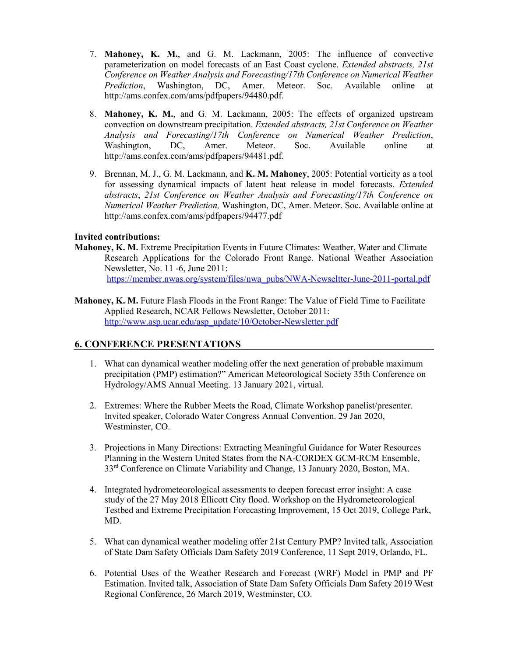- 7. **Mahoney, K. M.**, and G. M. Lackmann, 2005: The influence of convective parameterization on model forecasts of an East Coast cyclone. *Extended abstracts, 21st Conference on Weather Analysis and Forecasting/17th Conference on Numerical Weather Prediction*, Washington, DC, Amer. Meteor. Soc. Available online at http://ams.confex.com/ams/pdfpapers/94480.pdf.
- 8. **Mahoney, K. M.**, and G. M. Lackmann, 2005: The effects of organized upstream convection on downstream precipitation. *Extended abstracts, 21st Conference on Weather Analysis and Forecasting/17th Conference on Numerical Weather Prediction*, Washington, DC, Amer. Meteor. Soc. Available online at http://ams.confex.com/ams/pdfpapers/94481.pdf.
- 9. Brennan, M. J., G. M. Lackmann, and **K. M. Mahoney**, 2005: Potential vorticity as a tool for assessing dynamical impacts of latent heat release in model forecasts. *Extended abstracts*, *21st Conference on Weather Analysis and Forecasting/17th Conference on Numerical Weather Prediction,* Washington, DC, Amer. Meteor. Soc. Available online at http://ams.confex.com/ams/pdfpapers/94477.pdf

#### **Invited contributions:**

- **Mahoney, K. M.** Extreme Precipitation Events in Future Climates: Weather, Water and Climate Research Applications for the Colorado Front Range. National Weather Association Newsletter, No. 11 -6, June 2011: [https://member.nwas.org/system/files/nwa\\_pubs/NWA-Newseltter-June-2011-portal.pdf](https://member.nwas.org/system/files/nwa_pubs/NWA-Newseltter-June-2011-portal.pdf)
- **Mahoney, K. M.** Future Flash Floods in the Front Range: The Value of Field Time to Facilitate Applied Research, NCAR Fellows Newsletter, October 2011: [http://www.asp.ucar.edu/asp\\_update/10/October-Newsletter.pdf](http://www.asp.ucar.edu/asp_update/10/October-Newsletter.pdf)

# **6. CONFERENCE PRESENTATIONS**

- 1. What can dynamical weather modeling offer the next generation of probable maximum precipitation (PMP) estimation?" American Meteorological Society 35th Conference on Hydrology/AMS Annual Meeting. 13 January 2021, virtual.
- 2. Extremes: Where the Rubber Meets the Road, Climate Workshop panelist/presenter. Invited speaker, Colorado Water Congress Annual Convention. 29 Jan 2020, Westminster, CO.
- 3. Projections in Many Directions: Extracting Meaningful Guidance for Water Resources Planning in the Western United States from the NA-CORDEX GCM-RCM Ensemble, 33rd Conference on Climate Variability and Change, 13 January 2020, Boston, MA.
- 4. Integrated hydrometeorological assessments to deepen forecast error insight: A case study of the 27 May 2018 Ellicott City flood. Workshop on the Hydrometeorological Testbed and Extreme Precipitation Forecasting Improvement, 15 Oct 2019, College Park, MD.
- 5. What can dynamical weather modeling offer 21st Century PMP? Invited talk, Association of State Dam Safety Officials Dam Safety 2019 Conference, 11 Sept 2019, Orlando, FL.
- 6. Potential Uses of the Weather Research and Forecast (WRF) Model in PMP and PF Estimation. Invited talk, Association of State Dam Safety Officials Dam Safety 2019 West Regional Conference, 26 March 2019, Westminster, CO.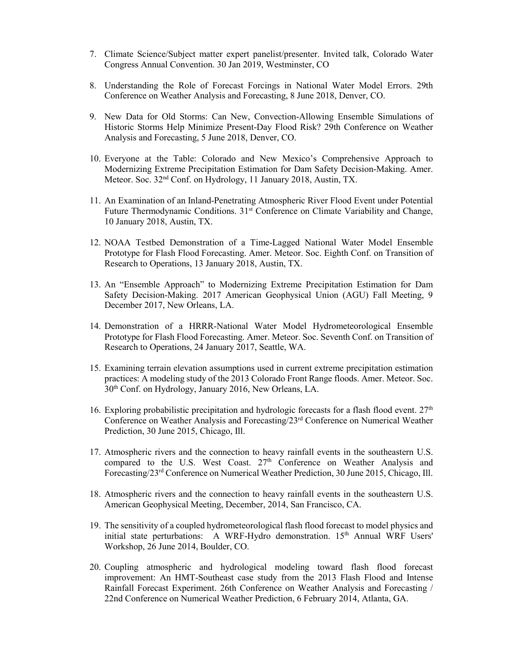- 7. Climate Science/Subject matter expert panelist/presenter. Invited talk, Colorado Water Congress Annual Convention. 30 Jan 2019, Westminster, CO
- 8. Understanding the Role of Forecast Forcings in National Water Model Errors. 29th Conference on Weather Analysis and Forecasting, 8 June 2018, Denver, CO.
- 9. New Data for Old Storms: Can New, Convection-Allowing Ensemble Simulations of Historic Storms Help Minimize Present-Day Flood Risk? 29th Conference on Weather Analysis and Forecasting, 5 June 2018, Denver, CO.
- 10. Everyone at the Table: Colorado and New Mexico's Comprehensive Approach to Modernizing Extreme Precipitation Estimation for Dam Safety Decision-Making. Amer. Meteor. Soc. 32nd Conf. on Hydrology, 11 January 2018, Austin, TX.
- 11. An Examination of an Inland-Penetrating Atmospheric River Flood Event under Potential Future Thermodynamic Conditions. 31<sup>st</sup> Conference on Climate Variability and Change, 10 January 2018, Austin, TX.
- 12. NOAA Testbed Demonstration of a Time-Lagged National Water Model Ensemble Prototype for Flash Flood Forecasting. Amer. Meteor. Soc. Eighth Conf. on Transition of Research to Operations, 13 January 2018, Austin, TX.
- 13. An "Ensemble Approach" to Modernizing Extreme Precipitation Estimation for Dam Safety Decision-Making. 2017 American Geophysical Union (AGU) Fall Meeting, 9 December 2017, New Orleans, LA.
- 14. Demonstration of a HRRR-National Water Model Hydrometeorological Ensemble Prototype for Flash Flood Forecasting. Amer. Meteor. Soc. Seventh Conf. on Transition of Research to Operations, 24 January 2017, Seattle, WA.
- 15. Examining terrain elevation assumptions used in current extreme precipitation estimation practices: A modeling study of the 2013 Colorado Front Range floods. Amer. Meteor. Soc. 30th Conf. on Hydrology, January 2016, New Orleans, LA.
- 16. Exploring probabilistic precipitation and hydrologic forecasts for a flash flood event.  $27<sup>th</sup>$ Conference on Weather Analysis and Forecasting/23rd Conference on Numerical Weather Prediction, 30 June 2015, Chicago, Ill.
- 17. Atmospheric rivers and the connection to heavy rainfall events in the southeastern U.S. compared to the U.S. West Coast.  $27<sup>th</sup>$  Conference on Weather Analysis and Forecasting/23rd Conference on Numerical Weather Prediction, 30 June 2015, Chicago, Ill.
- 18. Atmospheric rivers and the connection to heavy rainfall events in the southeastern U.S. American Geophysical Meeting, December, 2014, San Francisco, CA.
- 19. The sensitivity of a coupled hydrometeorological flash flood forecast to model physics and initial state perturbations: A WRF-Hydro demonstration.  $15<sup>th</sup>$  Annual WRF Users' Workshop, 26 June 2014, Boulder, CO.
- 20. Coupling atmospheric and hydrological modeling toward flash flood forecast improvement: An HMT-Southeast case study from the 2013 Flash Flood and Intense Rainfall Forecast Experiment. 26th Conference on Weather Analysis and Forecasting / 22nd Conference on Numerical Weather Prediction, 6 February 2014, Atlanta, GA.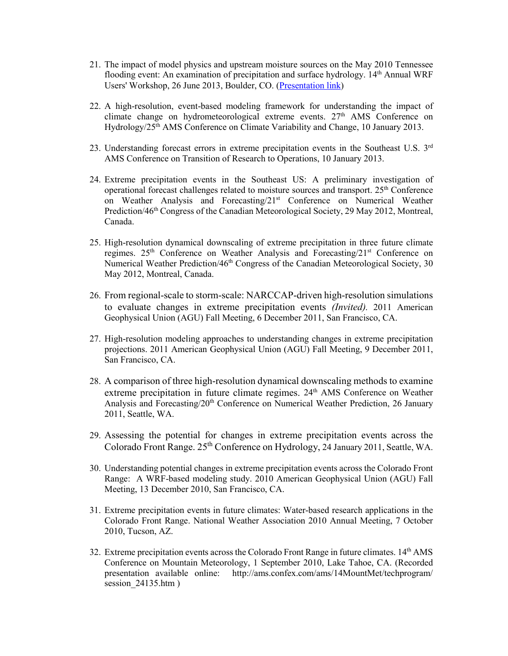- 21. The impact of model physics and upstream moisture sources on the May 2010 Tennessee flooding event: An examination of precipitation and surface hydrology. 14<sup>th</sup> Annual WRF Users' Workshop, 26 June 2013, Boulder, CO. [\(Presentation link\)](http://www.mmm.ucar.edu/wrf/users/workshops/WS2013/posters/p90.pdf)
- 22. A high-resolution, event-based modeling framework for understanding the impact of climate change on hydrometeorological extreme events.  $27<sup>th</sup>$  AMS Conference on Hydrology/25th AMS Conference on Climate Variability and Change, 10 January 2013.
- 23. Understanding forecast errors in extreme precipitation events in the Southeast U.S.  $3<sup>rd</sup>$ AMS Conference on Transition of Research to Operations, 10 January 2013.
- 24. Extreme precipitation events in the Southeast US: A preliminary investigation of operational forecast challenges related to moisture sources and transport. 25th Conference on Weather Analysis and Forecasting/21st Conference on Numerical Weather Prediction/46<sup>th</sup> Congress of the Canadian Meteorological Society, 29 May 2012, Montreal, Canada.
- 25. High-resolution dynamical downscaling of extreme precipitation in three future climate regimes.  $25<sup>th</sup>$  Conference on Weather Analysis and Forecasting/ $21<sup>st</sup>$  Conference on Numerical Weather Prediction/ $46<sup>th</sup>$  Congress of the Canadian Meteorological Society, 30 May 2012, Montreal, Canada.
- 26. From regional-scale to storm-scale: NARCCAP-driven high-resolution simulations to evaluate changes in extreme precipitation events *(Invited).* 2011 American Geophysical Union (AGU) Fall Meeting, 6 December 2011, San Francisco, CA.
- 27. High-resolution modeling approaches to understanding changes in extreme precipitation projections. 2011 American Geophysical Union (AGU) Fall Meeting, 9 December 2011, San Francisco, CA.
- 28. A comparison of three high-resolution dynamical downscaling methods to examine extreme precipitation in future climate regimes. 24<sup>th</sup> AMS Conference on Weather Analysis and Forecasting/ $20<sup>th</sup>$  Conference on Numerical Weather Prediction, 26 January 2011, Seattle, WA.
- 29. Assessing the potential for changes in extreme precipitation events across the Colorado Front Range. 25<sup>th</sup> Conference on Hydrology, 24 January 2011, Seattle, WA.
- 30. Understanding potential changes in extreme precipitation events across the Colorado Front Range: A WRF-based modeling study. 2010 American Geophysical Union (AGU) Fall Meeting, 13 December 2010, San Francisco, CA.
- 31. Extreme precipitation events in future climates: Water-based research applications in the Colorado Front Range. National Weather Association 2010 Annual Meeting, 7 October 2010, Tucson, AZ.
- 32. Extreme precipitation events across the Colorado Front Range in future climates.  $14<sup>th</sup>$  AMS Conference on Mountain Meteorology, 1 September 2010, Lake Tahoe, CA. (Recorded presentation available online: http://ams.confex.com/ams/14MountMet/techprogram/ session 24135.htm )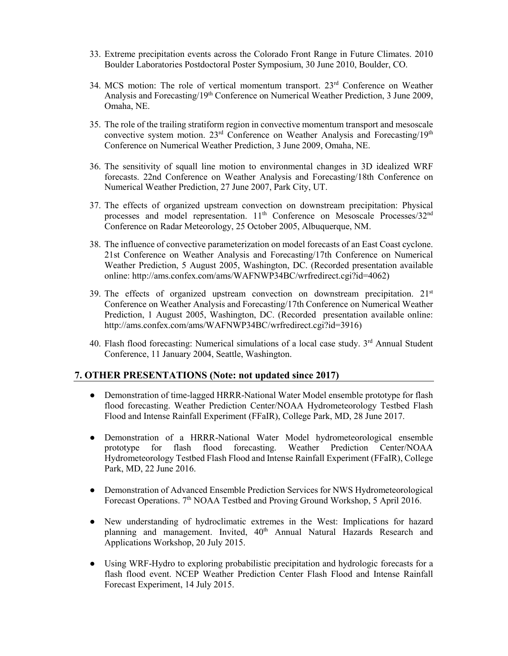- 33. Extreme precipitation events across the Colorado Front Range in Future Climates. 2010 Boulder Laboratories Postdoctoral Poster Symposium, 30 June 2010, Boulder, CO.
- 34. MCS motion: The role of vertical momentum transport.  $23<sup>rd</sup>$  Conference on Weather Analysis and Forecasting/19th Conference on Numerical Weather Prediction, 3 June 2009, Omaha, NE.
- 35. The role of the trailing stratiform region in convective momentum transport and mesoscale convective system motion. 23rd Conference on Weather Analysis and Forecasting/19th Conference on Numerical Weather Prediction, 3 June 2009, Omaha, NE.
- 36. The sensitivity of squall line motion to environmental changes in 3D idealized WRF forecasts. 22nd Conference on Weather Analysis and Forecasting/18th Conference on Numerical Weather Prediction, 27 June 2007, Park City, UT.
- 37. The effects of organized upstream convection on downstream precipitation: Physical processes and model representation. 11<sup>th</sup> Conference on Mesoscale Processes/32<sup>nd</sup> Conference on Radar Meteorology, 25 October 2005, Albuquerque, NM.
- 38. The influence of convective parameterization on model forecasts of an East Coast cyclone. 21st Conference on Weather Analysis and Forecasting/17th Conference on Numerical Weather Prediction, 5 August 2005, Washington, DC. (Recorded presentation available online: http://ams.confex.com/ams/WAFNWP34BC/wrfredirect.cgi?id=4062)
- 39. The effects of organized upstream convection on downstream precipitation.  $21<sup>st</sup>$ Conference on Weather Analysis and Forecasting/17th Conference on Numerical Weather Prediction, 1 August 2005, Washington, DC. (Recorded presentation available online: http://ams.confex.com/ams/WAFNWP34BC/wrfredirect.cgi?id=3916)
- 40. Flash flood forecasting: Numerical simulations of a local case study.  $3<sup>rd</sup>$  Annual Student Conference, 11 January 2004, Seattle, Washington.

#### **7. OTHER PRESENTATIONS (Note: not updated since 2017)**

- Demonstration of time-lagged HRRR-National Water Model ensemble prototype for flash flood forecasting. Weather Prediction Center/NOAA Hydrometeorology Testbed Flash Flood and Intense Rainfall Experiment (FFaIR), College Park, MD, 28 June 2017.
- Demonstration of a HRRR-National Water Model hydrometeorological ensemble prototype for flash flood forecasting. Weather Prediction Center/NOAA Hydrometeorology Testbed Flash Flood and Intense Rainfall Experiment (FFaIR), College Park, MD, 22 June 2016.
- Demonstration of Advanced Ensemble Prediction Services for NWS Hydrometeorological Forecast Operations. 7<sup>th</sup> NOAA Testbed and Proving Ground Workshop, 5 April 2016.
- New understanding of hydroclimatic extremes in the West: Implications for hazard planning and management. Invited, 40<sup>th</sup> Annual Natural Hazards Research and Applications Workshop, 20 July 2015.
- Using WRF-Hydro to exploring probabilistic precipitation and hydrologic forecasts for a flash flood event. NCEP Weather Prediction Center Flash Flood and Intense Rainfall Forecast Experiment, 14 July 2015.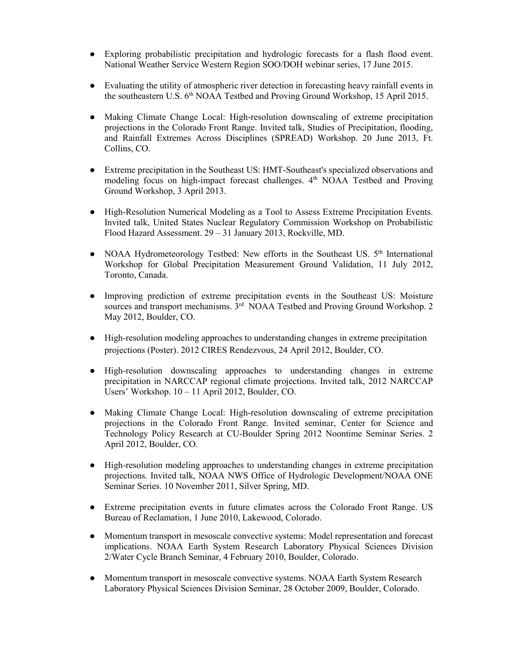- Exploring probabilistic precipitation and hydrologic forecasts for a flash flood event. National Weather Service Western Region SOO/DOH webinar series, 17 June 2015.
- Evaluating the utility of atmospheric river detection in forecasting heavy rainfall events in the southeastern U.S. 6<sup>th</sup> NOAA Testbed and Proving Ground Workshop, 15 April 2015.
- Making Climate Change Local: High-resolution downscaling of extreme precipitation projections in the Colorado Front Range. Invited talk, Studies of Precipitation, flooding, and Rainfall Extremes Across Disciplines (SPREAD) Workshop. 20 June 2013, Ft. Collins, CO.
- Extreme precipitation in the Southeast US: HMT-Southeast's specialized observations and modeling focus on high-impact forecast challenges.  $4<sup>th</sup>$  NOAA Testbed and Proving Ground Workshop, 3 April 2013.
- High-Resolution Numerical Modeling as a Tool to Assess Extreme Precipitation Events. Invited talk, United States Nuclear Regulatory Commission Workshop on Probabilistic Flood Hazard Assessment. 29 – 31 January 2013, Rockville, MD.
- NOAA Hydrometeorology Testbed: New efforts in the Southeast US. 5<sup>th</sup> International Workshop for Global Precipitation Measurement Ground Validation, 11 July 2012, Toronto, Canada.
- Improving prediction of extreme precipitation events in the Southeast US: Moisture sources and transport mechanisms.  $3<sup>rd</sup>$  NOAA Testbed and Proving Ground Workshop. 2 May 2012, Boulder, CO.
- High-resolution modeling approaches to understanding changes in extreme precipitation projections (Poster). 2012 CIRES Rendezvous, 24 April 2012, Boulder, CO.
- High-resolution downscaling approaches to understanding changes in extreme precipitation in NARCCAP regional climate projections. Invited talk, 2012 NARCCAP Users' Workshop. 10 – 11 April 2012, Boulder, CO.
- Making Climate Change Local: High-resolution downscaling of extreme precipitation projections in the Colorado Front Range. Invited seminar, Center for Science and Technology Policy Research at CU-Boulder Spring 2012 Noontime Seminar Series. 2 April 2012, Boulder, CO.
- High-resolution modeling approaches to understanding changes in extreme precipitation projections. Invited talk, NOAA NWS Office of Hydrologic Development/NOAA ONE Seminar Series. 10 November 2011, Silver Spring, MD.
- Extreme precipitation events in future climates across the Colorado Front Range. US Bureau of Reclamation, 1 June 2010, Lakewood, Colorado.
- Momentum transport in mesoscale convective systems: Model representation and forecast implications. NOAA Earth System Research Laboratory Physical Sciences Division 2/Water Cycle Branch Seminar, 4 February 2010, Boulder, Colorado.
- Momentum transport in mesoscale convective systems. NOAA Earth System Research Laboratory Physical Sciences Division Seminar, 28 October 2009, Boulder, Colorado.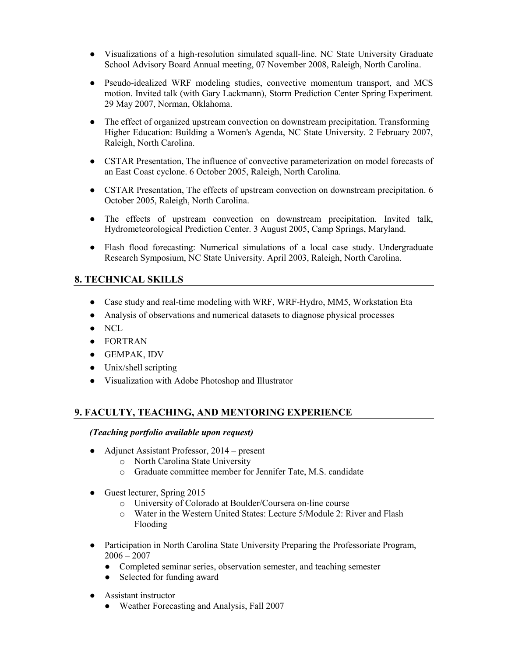- Visualizations of a high-resolution simulated squall-line. NC State University Graduate School Advisory Board Annual meeting, 07 November 2008, Raleigh, North Carolina.
- Pseudo-idealized WRF modeling studies, convective momentum transport, and MCS motion. Invited talk (with Gary Lackmann), Storm Prediction Center Spring Experiment. 29 May 2007, Norman, Oklahoma.
- The effect of organized upstream convection on downstream precipitation. Transforming Higher Education: Building a Women's Agenda, NC State University. 2 February 2007, Raleigh, North Carolina.
- CSTAR Presentation, The influence of convective parameterization on model forecasts of an East Coast cyclone. 6 October 2005, Raleigh, North Carolina.
- CSTAR Presentation, The effects of upstream convection on downstream precipitation. 6 October 2005, Raleigh, North Carolina.
- The effects of upstream convection on downstream precipitation. Invited talk, Hydrometeorological Prediction Center. 3 August 2005, Camp Springs, Maryland.
- Flash flood forecasting: Numerical simulations of a local case study. Undergraduate Research Symposium, NC State University. April 2003, Raleigh, North Carolina.

# **8. TECHNICAL SKILLS**

- Case study and real-time modeling with WRF, WRF-Hydro, MM5, Workstation Eta
- Analysis of observations and numerical datasets to diagnose physical processes
- NCL
- FORTRAN
- GEMPAK, IDV
- Unix/shell scripting
- Visualization with Adobe Photoshop and Illustrator

# **9. FACULTY, TEACHING, AND MENTORING EXPERIENCE**

#### *(Teaching portfolio available upon request)*

- Adjunct Assistant Professor, 2014 present
	- o North Carolina State University
	- o Graduate committee member for Jennifer Tate, M.S. candidate
- Guest lecturer, Spring 2015
	- o University of Colorado at Boulder/Coursera on-line course
	- o Water in the Western United States: Lecture 5/Module 2: River and Flash Flooding
- Participation in North Carolina State University Preparing the Professoriate Program,  $2006 - 2007$ 
	- Completed seminar series, observation semester, and teaching semester
	- Selected for funding award
- Assistant instructor
	- Weather Forecasting and Analysis, Fall 2007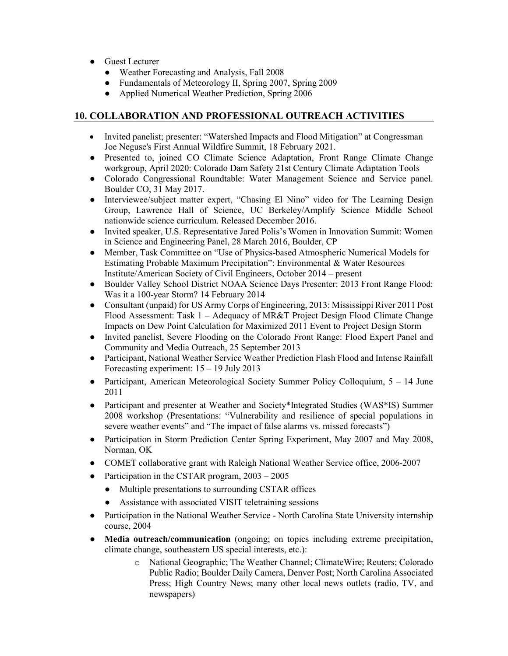- Guest Lecturer
	- Weather Forecasting and Analysis, Fall 2008
	- Fundamentals of Meteorology II, Spring 2007, Spring 2009
	- Applied Numerical Weather Prediction, Spring 2006

# **10. COLLABORATION AND PROFESSIONAL OUTREACH ACTIVITIES**

- Invited panelist; presenter: "Watershed Impacts and Flood Mitigation" at Congressman Joe Neguse's First Annual Wildfire Summit, 18 February 2021.
- Presented to, joined CO Climate Science Adaptation, Front Range Climate Change workgroup, April 2020: Colorado Dam Safety 21st Century Climate Adaptation Tools
- Colorado Congressional Roundtable: Water Management Science and Service panel. Boulder CO, 31 May 2017.
- Interviewee/subject matter expert, "Chasing El Nino" video for The Learning Design Group, Lawrence Hall of Science, UC Berkeley/Amplify Science Middle School nationwide science curriculum. Released December 2016.
- Invited speaker, U.S. Representative Jared Polis's Women in Innovation Summit: Women in Science and Engineering Panel, 28 March 2016, Boulder, CP
- Member, Task Committee on "Use of Physics-based Atmospheric Numerical Models for Estimating Probable Maximum Precipitation": Environmental & Water Resources Institute/American Society of Civil Engineers, October 2014 – present
- Boulder Valley School District NOAA Science Days Presenter: 2013 Front Range Flood: Was it a 100-year Storm? 14 February 2014
- Consultant (unpaid) for US Army Corps of Engineering, 2013: Mississippi River 2011 Post Flood Assessment: Task 1 – Adequacy of MR&T Project Design Flood Climate Change Impacts on Dew Point Calculation for Maximized 2011 Event to Project Design Storm
- Invited panelist, Severe Flooding on the Colorado Front Range: Flood Expert Panel and Community and Media Outreach, 25 September 2013
- Participant, National Weather Service Weather Prediction Flash Flood and Intense Rainfall Forecasting experiment: 15 – 19 July 2013
- Participant, American Meteorological Society Summer Policy Colloquium, 5 14 June 2011
- Participant and presenter at Weather and Society\*Integrated Studies (WAS\*IS) Summer 2008 workshop (Presentations: "Vulnerability and resilience of special populations in severe weather events" and "The impact of false alarms vs. missed forecasts")
- Participation in Storm Prediction Center Spring Experiment, May 2007 and May 2008, Norman, OK
- COMET collaborative grant with Raleigh National Weather Service office, 2006-2007
- Participation in the CSTAR program,  $2003 2005$ 
	- Multiple presentations to surrounding CSTAR offices
	- Assistance with associated VISIT teletraining sessions
- Participation in the National Weather Service North Carolina State University internship course, 2004
- **Media outreach/communication** (ongoing; on topics including extreme precipitation, climate change, southeastern US special interests, etc.):
	- o National Geographic; The Weather Channel; ClimateWire; Reuters; Colorado Public Radio; Boulder Daily Camera, Denver Post; North Carolina Associated Press; High Country News; many other local news outlets (radio, TV, and newspapers)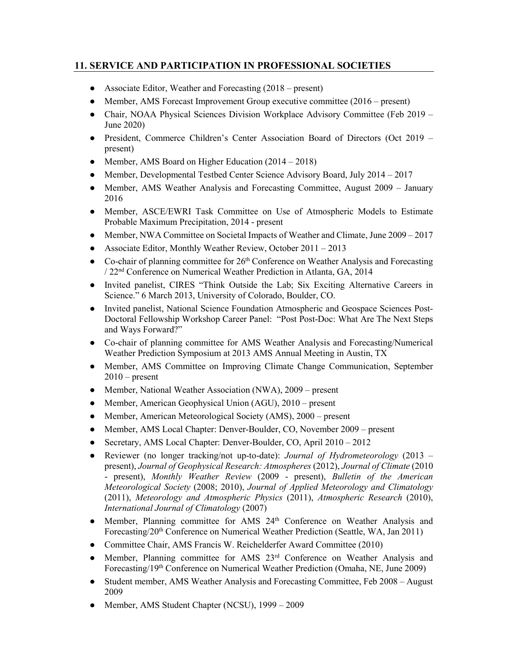# **11. SERVICE AND PARTICIPATION IN PROFESSIONAL SOCIETIES**

- Associate Editor, Weather and Forecasting (2018 present)
- Member, AMS Forecast Improvement Group executive committee (2016 present)
- Chair, NOAA Physical Sciences Division Workplace Advisory Committee (Feb 2019 June 2020)
- President, Commerce Children's Center Association Board of Directors (Oct 2019 present)
- Member, AMS Board on Higher Education (2014 2018)
- Member, Developmental Testbed Center Science Advisory Board, July  $2014 2017$
- Member, AMS Weather Analysis and Forecasting Committee, August 2009 January 2016
- Member, ASCE/EWRI Task Committee on Use of Atmospheric Models to Estimate Probable Maximum Precipitation, 2014 - present
- Member, NWA Committee on Societal Impacts of Weather and Climate, June 2009 2017
- Associate Editor, Monthly Weather Review, October 2011 2013
- $\bullet$  Co-chair of planning committee for 26<sup>th</sup> Conference on Weather Analysis and Forecasting / 22nd Conference on Numerical Weather Prediction in Atlanta, GA, 2014
- Invited panelist, CIRES "Think Outside the Lab; Six Exciting Alternative Careers in Science." 6 March 2013, University of Colorado, Boulder, CO.
- Invited panelist, National Science Foundation Atmospheric and Geospace Sciences Post-Doctoral Fellowship Workshop Career Panel: "Post Post-Doc: What Are The Next Steps and Ways Forward?"
- Co-chair of planning committee for AMS Weather Analysis and Forecasting/Numerical Weather Prediction Symposium at 2013 AMS Annual Meeting in Austin, TX
- Member, AMS Committee on Improving Climate Change Communication, September  $2010$  – present
- Member, National Weather Association (NWA), 2009 present
- Member, American Geophysical Union (AGU), 2010 present
- Member, American Meteorological Society (AMS), 2000 present
- Member, AMS Local Chapter: Denver-Boulder, CO, November 2009 present
- Secretary, AMS Local Chapter: Denver-Boulder, CO, April 2010 2012
- Reviewer (no longer tracking/not up-to-date): *Journal of Hydrometeorology* (2013 present), *Journal of Geophysical Research: Atmospheres* (2012), *Journal of Climate* (2010 - present), *Monthly Weather Review* (2009 - present), *Bulletin of the American Meteorological Society* (2008; 2010), *Journal of Applied Meteorology and Climatology* (2011), *Meteorology and Atmospheric Physics* (2011), *Atmospheric Research* (2010), *International Journal of Climatology* (2007)
- Member, Planning committee for AMS 24th Conference on Weather Analysis and Forecasting/20th Conference on Numerical Weather Prediction (Seattle, WA, Jan 2011)
- Committee Chair, AMS Francis W. Reichelderfer Award Committee (2010)
- Member, Planning committee for AMS 23rd Conference on Weather Analysis and Forecasting/19th Conference on Numerical Weather Prediction (Omaha, NE, June 2009)
- Student member, AMS Weather Analysis and Forecasting Committee, Feb 2008 August 2009
- Member, AMS Student Chapter (NCSU), 1999 2009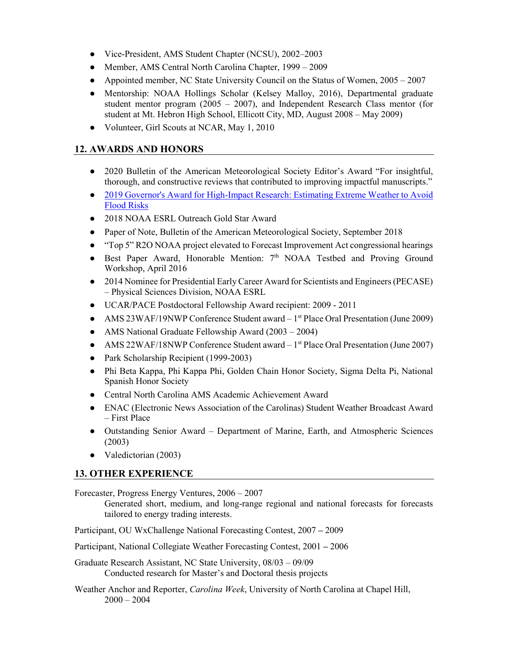- Vice-President, AMS Student Chapter (NCSU), 2002–2003
- Member, AMS Central North Carolina Chapter, 1999 2009
- Appointed member, NC State University Council on the Status of Women, 2005 2007
- Mentorship: NOAA Hollings Scholar (Kelsey Malloy, 2016), Departmental graduate student mentor program (2005 – 2007), and Independent Research Class mentor (for student at Mt. Hebron High School, Ellicott City, MD, August 2008 – May 2009)
- Volunteer, Girl Scouts at NCAR, May 1, 2010

### **12. AWARDS AND HONORS**

- 2020 Bulletin of the American Meteorological Society Editor's Award "For insightful, thorough, and constructive reviews that contributed to improving impactful manuscripts."
- [2019 Governor's Award for High-Impact Research: Estimating Extreme Weather to Avoid](https://www.youtube.com/watch?time_continue=1&v=k0wNzykqduc&feature=emb_logo)  [Flood Risks](https://www.youtube.com/watch?time_continue=1&v=k0wNzykqduc&feature=emb_logo)
- 2018 NOAA ESRL Outreach Gold Star Award
- Paper of Note, Bulletin of the American Meteorological Society, September 2018
- "Top 5" R2O NOAA project elevated to Forecast Improvement Act congressional hearings
- Best Paper Award, Honorable Mention:  $7<sup>th</sup>$  NOAA Testbed and Proving Ground Workshop, April 2016
- 2014 Nominee for Presidential Early Career Award for Scientists and Engineers (PECASE) – Physical Sciences Division, NOAA ESRL
- UCAR/PACE Postdoctoral Fellowship Award recipient: 2009 2011
- AMS 23WAF/19NWP Conference Student award  $-1<sup>st</sup>$  Place Oral Presentation (June 2009)
- AMS National Graduate Fellowship Award (2003 2004)
- AMS 22WAF/18NWP Conference Student award  $-1<sup>st</sup>$  Place Oral Presentation (June 2007)
- Park Scholarship Recipient (1999-2003)
- Phi Beta Kappa, Phi Kappa Phi, Golden Chain Honor Society, Sigma Delta Pi, National Spanish Honor Society
- Central North Carolina AMS Academic Achievement Award
- ENAC (Electronic News Association of the Carolinas) Student Weather Broadcast Award – First Place
- Outstanding Senior Award Department of Marine, Earth, and Atmospheric Sciences (2003)
- Valedictorian (2003)

# **13. OTHER EXPERIENCE**

Forecaster, Progress Energy Ventures, 2006 – 2007

Generated short, medium, and long-range regional and national forecasts for forecasts tailored to energy trading interests.

Participant, OU WxChallenge National Forecasting Contest, 2007 *–* 2009

Participant, National Collegiate Weather Forecasting Contest, 2001 *–* 2006

Graduate Research Assistant, NC State University, 08/03 – 09/09 Conducted research for Master's and Doctoral thesis projects

Weather Anchor and Reporter, *Carolina Week*, University of North Carolina at Chapel Hill,  $2000 - 2004$